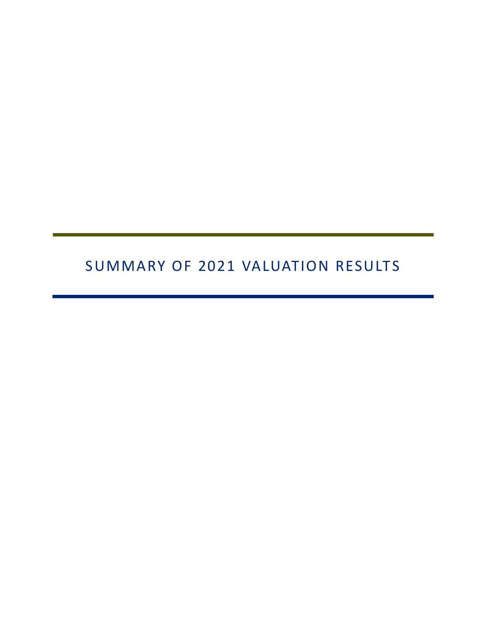# SUMMARY OF 2021 VALUATION RESULTS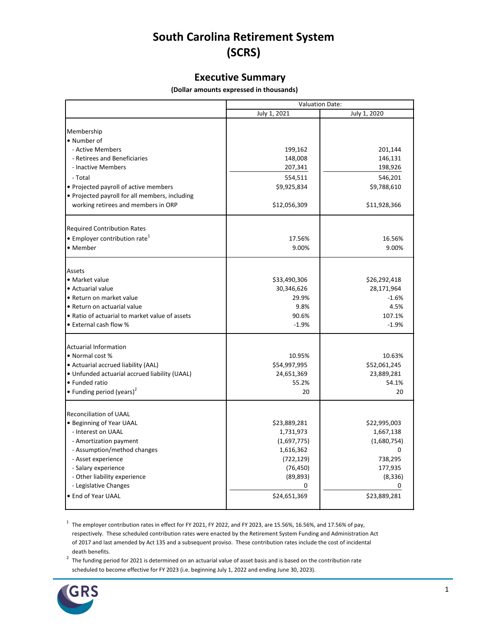## **South Carolina Retirement System (SCRS)**

#### **Executive Summary**

 **(Dollar amounts expressed in thousands)** 

|                                                |              | <b>Valuation Date:</b> |
|------------------------------------------------|--------------|------------------------|
|                                                | July 1, 2021 | July 1, 2020           |
|                                                |              |                        |
| Membership                                     |              |                        |
| • Number of                                    |              |                        |
| - Active Members                               | 199,162      | 201,144                |
| - Retirees and Beneficiaries                   | 148,008      | 146,131                |
| - Inactive Members                             | 207,341      | 198,926                |
| - Total                                        | 554,511      | 546,201                |
| • Projected payroll of active members          | \$9,925,834  | \$9,788,610            |
| • Projected payroll for all members, including |              |                        |
| working retirees and members in ORP            | \$12,056,309 | \$11,928,366           |
| <b>Required Contribution Rates</b>             |              |                        |
| • Employer contribution rate <sup>1</sup>      | 17.56%       | 16.56%                 |
| • Member                                       | 9.00%        | 9.00%                  |
| Assets                                         |              |                        |
| · Market value                                 | \$33,490,306 | \$26,292,418           |
| · Actuarial value                              | 30,346,626   | 28,171,964             |
| • Return on market value                       | 29.9%        | $-1.6%$                |
| • Return on actuarial value                    | 9.8%         | 4.5%                   |
| • Ratio of actuarial to market value of assets | 90.6%        | 107.1%                 |
| • External cash flow %                         | $-1.9%$      | $-1.9%$                |
| <b>Actuarial Information</b>                   |              |                        |
| • Normal cost %                                | 10.95%       | 10.63%                 |
| • Actuarial accrued liability (AAL)            | \$54,997,995 | \$52,061,245           |
| · Unfunded actuarial accrued liability (UAAL)  | 24,651,369   | 23,889,281             |
| • Funded ratio                                 | 55.2%        | 54.1%                  |
| • Funding period (years) <sup>2</sup>          | 20           | 20                     |
| Reconciliation of UAAL                         |              |                        |
| • Beginning of Year UAAL                       | \$23,889,281 | \$22,995,003           |
| - Interest on UAAL                             | 1,731,973    | 1,667,138              |
| - Amortization payment                         | (1,697,775)  | (1,680,754)            |
| - Assumption/method changes                    | 1,616,362    | $\Omega$               |
| - Asset experience                             | (722, 129)   | 738,295                |
| - Salary experience                            | (76, 450)    | 177,935                |
| - Other liability experience                   | (89, 893)    | (8, 336)               |
| - Legislative Changes                          | 0            | 0                      |
| • End of Year UAAL                             | \$24,651,369 | \$23,889,281           |

 $1$  The employer contribution rates in effect for FY 2021, FY 2022, and FY 2023, are 15.56%, 16.56%, and 17.56% of pay, respectively. These scheduled contribution rates were enacted by the Retirement System Funding and Administration Act of 2017 and last amended by Act 135 and a subsequent proviso. These contribution rates include the cost of incidental death benefits.

 $2$  The funding period for 2021 is determined on an actuarial value of asset basis and is based on the contribution rate scheduled to become effective for FY 2023 (i.e. beginning July 1, 2022 and ending June 30, 2023).

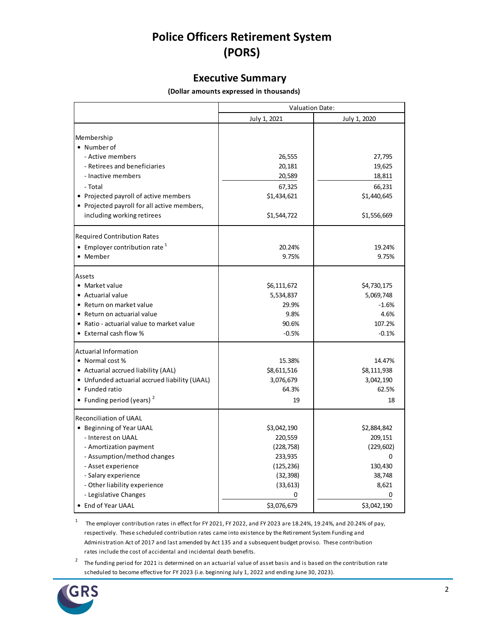## **Police Officers Retirement System (PORS)**

#### **Executive Summary**

 **(Dollar amounts expressed in thousands)** 

|                                               | <b>Valuation Date:</b> |              |
|-----------------------------------------------|------------------------|--------------|
|                                               | July 1, 2021           | July 1, 2020 |
| Membership<br>• Number of                     |                        |              |
| - Active members                              | 26,555                 | 27,795       |
| - Retirees and beneficiaries                  | 20,181                 | 19,625       |
| - Inactive members                            | 20,589                 | 18,811       |
| - Total                                       | 67,325                 | 66,231       |
| • Projected payroll of active members         | \$1,434,621            | \$1,440,645  |
| • Projected payroll for all active members,   |                        |              |
| including working retirees                    | \$1,544,722            | \$1,556,669  |
| <b>Required Contribution Rates</b>            |                        |              |
| • Employer contribution rate $1$              | 20.24%                 | 19.24%       |
| • Member                                      | 9.75%                  | 9.75%        |
| Assets                                        |                        |              |
| • Market value                                | \$6,111,672            | \$4,730,175  |
| • Actuarial value                             | 5,534,837              | 5,069,748    |
| • Return on market value                      | 29.9%                  | $-1.6%$      |
| • Return on actuarial value                   | 9.8%                   | 4.6%         |
| • Ratio - actuarial value to market value     | 90.6%                  | 107.2%       |
| • External cash flow %                        | $-0.5%$                | $-0.1%$      |
| <b>Actuarial Information</b>                  |                        |              |
| • Normal cost %                               | 15.38%                 | 14.47%       |
| • Actuarial accrued liability (AAL)           | \$8,611,516            | \$8,111,938  |
| • Unfunded actuarial accrued liability (UAAL) | 3,076,679              | 3,042,190    |
| • Funded ratio                                | 64.3%                  | 62.5%        |
| • Funding period (years) <sup>2</sup>         | 19                     | 18           |
| <b>Reconciliation of UAAL</b>                 |                        |              |
| • Beginning of Year UAAL                      | \$3,042,190            | \$2,884,842  |
| - Interest on UAAL                            | 220,559                | 209,151      |
| - Amortization payment                        | (228, 758)             | (229, 602)   |
| - Assumption/method changes                   | 233,935                | 0            |
| - Asset experience                            | (125, 236)             | 130,430      |
| - Salary experience                           | (32, 398)              | 38,748       |
| - Other liability experience                  | (33, 613)              | 8,621        |
| - Legislative Changes                         | 0                      |              |
| • End of Year UAAL                            | \$3,076,679            | \$3,042,190  |

1 The employer contribution rates in effect for FY 2021, FY 2022, and FY 2023 are 18.24%, 19.24%, and 20.24% of pay, respectively. These scheduled contribution rates came into existence by the Retirement System Funding and Administration Act of 2017 and last amended by Act 135 and a subsequent budget proviso. These contribution rates include the cost of accidental and incidental death benefits.

<sup>2</sup> The funding period for 2021 is determined on an actuarial value of asset basis and is based on the contribution rate scheduled to become effective for FY 2023 (i.e. beginning July 1, 2022 and ending June 30, 2023).

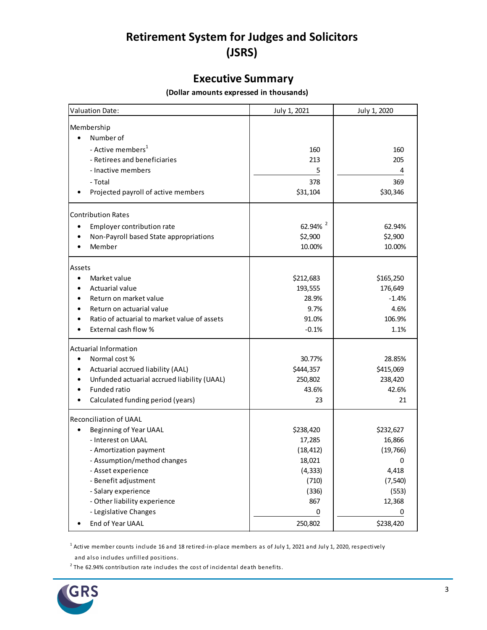## **Retirement System for Judges and Solicitors (JSRS)**

### **Executive Summary**

#### **(Dollar amounts expressed in thousands)**

| <b>Valuation Date:</b>                           | July 1, 2021        | July 1, 2020 |
|--------------------------------------------------|---------------------|--------------|
| Membership                                       |                     |              |
| Number of                                        |                     |              |
| - Active members <sup>1</sup>                    | 160                 | 160          |
| - Retirees and beneficiaries                     | 213                 | 205          |
| - Inactive members                               | 5                   |              |
| - Total                                          | 378                 | 369          |
| Projected payroll of active members              | \$31,104            | \$30,346     |
| <b>Contribution Rates</b>                        |                     |              |
| Employer contribution rate<br>$\bullet$          | 62.94% <sup>2</sup> | 62.94%       |
| Non-Payroll based State appropriations           | \$2,900             | \$2,900      |
| Member                                           | 10.00%              | 10.00%       |
| Assets                                           |                     |              |
| Market value<br>$\bullet$                        | \$212,683           | \$165,250    |
| Actuarial value                                  | 193,555             | 176,649      |
| Return on market value                           | 28.9%               | $-1.4%$      |
| Return on actuarial value                        | 9.7%                | 4.6%         |
| Ratio of actuarial to market value of assets     | 91.0%               | 106.9%       |
| External cash flow %                             | $-0.1%$             | 1.1%         |
| <b>Actuarial Information</b>                     |                     |              |
| Normal cost %<br>$\bullet$                       | 30.77%              | 28.85%       |
| Actuarial accrued liability (AAL)                | \$444,357           | \$415,069    |
| Unfunded actuarial accrued liability (UAAL)<br>٠ | 250,802             | 238,420      |
| Funded ratio                                     | 43.6%               | 42.6%        |
| Calculated funding period (years)                | 23                  | 21           |
| Reconciliation of UAAL                           |                     |              |
| Beginning of Year UAAL<br>٠                      | \$238,420           | \$232,627    |
| - Interest on UAAL                               | 17,285              | 16,866       |
| - Amortization payment                           | (18, 412)           | (19, 766)    |
| Assumption/method changes                        | 18,021              |              |
| - Asset experience                               | (4, 333)            | 4,418        |
| - Benefit adjustment                             | (710)               | (7, 540)     |
| - Salary experience                              | (336)               | (553)        |
| - Other liability experience                     | 867                 | 12,368       |
| - Legislative Changes                            | 0                   | 0            |
| End of Year UAAL                                 | 250,802             | \$238,420    |

 $^{\rm 1}$  Active member counts include 16 and 18 retired-in-place members as of July 1, 2021 and July 1, 2020, respectively

and also includes unfilled positions.

 $^2$  The 62.94% contribution rate includes the cost of incidental death benefits.

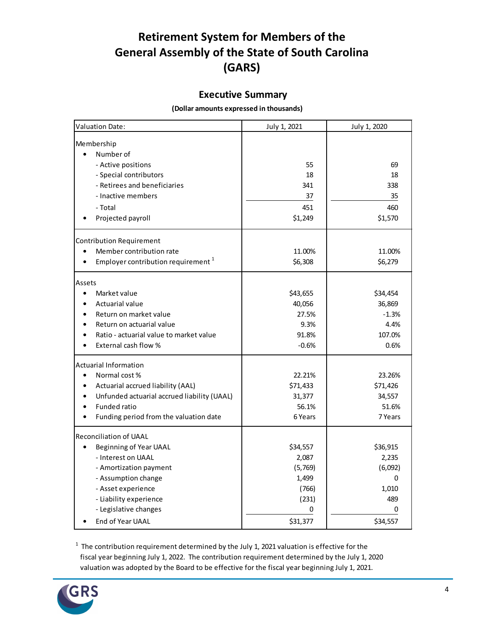### **Retirement System for Members of the General Assembly of the State of South Carolina (GARS)**

#### **Executive Summary**

 **(Dollar amounts expressed in thousands)** 

| Valuation Date:                                | July 1, 2021 | July 1, 2020 |
|------------------------------------------------|--------------|--------------|
|                                                |              |              |
| Membership<br>Number of                        |              |              |
| - Active positions                             | 55           | 69           |
| - Special contributors                         | 18           | 18           |
| - Retirees and beneficiaries                   | 341          | 338          |
| - Inactive members                             | 37           | 35           |
| - Total                                        | 451          | 460          |
|                                                | \$1,249      | \$1,570      |
| Projected payroll                              |              |              |
| <b>Contribution Requirement</b>                |              |              |
| Member contribution rate                       | 11.00%       | 11.00%       |
| Employer contribution requirement <sup>1</sup> | \$6,308      | \$6,279      |
| Assets                                         |              |              |
| $\bullet$<br>Market value                      | \$43,655     | \$34,454     |
| Actuarial value                                | 40,056       | 36,869       |
| Return on market value                         | 27.5%        | $-1.3%$      |
| Return on actuarial value                      | 9.3%         | 4.4%         |
| Ratio - actuarial value to market value        | 91.8%        | 107.0%       |
| External cash flow %                           | $-0.6%$      | 0.6%         |
| <b>Actuarial Information</b>                   |              |              |
| Normal cost %<br>$\bullet$                     | 22.21%       | 23.26%       |
| Actuarial accrued liability (AAL)              | \$71,433     | \$71,426     |
| Unfunded actuarial accrued liability (UAAL)    | 31,377       | 34,557       |
| <b>Funded ratio</b>                            | 56.1%        | 51.6%        |
| Funding period from the valuation date         | 6 Years      | 7 Years      |
| <b>Reconciliation of UAAL</b>                  |              |              |
| Beginning of Year UAAL                         | \$34,557     | \$36,915     |
| - Interest on UAAL                             | 2,087        | 2,235        |
| - Amortization payment                         | (5,769)      | (6,092)      |
| - Assumption change                            | 1,499        | 0            |
| - Asset experience                             | (766)        | 1,010        |
| - Liability experience                         | (231)        | 489          |
| - Legislative changes                          | 0            | 0            |
| End of Year UAAL                               | \$31,377     | \$34,557     |

 $1$  The contribution requirement determined by the July 1, 2021 valuation is effective for the fiscal year beginning July 1, 2022. The contribution requirement determined by the July 1, 2020 valuation was adopted by the Board to be effective for the fiscal year beginning July 1, 2021.